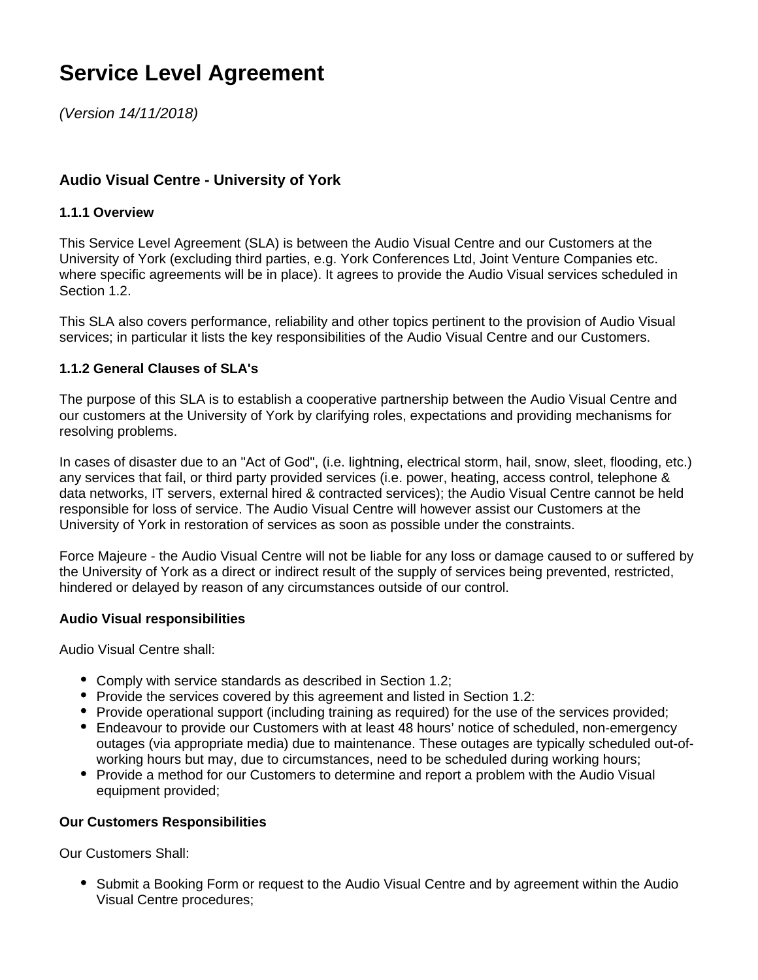# **Service Level Agreement**

[\(Version 14/11/2018\)](https://wiki.york.ac.uk/pages/viewpage.action?pageId=117802099)

# **Audio Visual Centre - University of York**

#### **1.1.1 Overview**

This Service Level Agreement (SLA) is between the Audio Visual Centre and our Customers at the University of York (excluding third parties, e.g. York Conferences Ltd, Joint Venture Companies etc. where specific agreements will be in place). It agrees to provide the Audio Visual services scheduled in Section 1.2.

This SLA also covers performance, reliability and other topics pertinent to the provision of Audio Visual services; in particular it lists the key responsibilities of the Audio Visual Centre and our Customers.

## **1.1.2 General Clauses of SLA's**

The purpose of this SLA is to establish a cooperative partnership between the Audio Visual Centre and our customers at the University of York by clarifying roles, expectations and providing mechanisms for resolving problems.

In cases of disaster due to an "Act of God", (i.e. lightning, electrical storm, hail, snow, sleet, flooding, etc.) any services that fail, or third party provided services (i.e. power, heating, access control, telephone & data networks, IT servers, external hired & contracted services); the Audio Visual Centre cannot be held responsible for loss of service. The Audio Visual Centre will however assist our Customers at the University of York in restoration of services as soon as possible under the constraints.

Force Majeure - the Audio Visual Centre will not be liable for any loss or damage caused to or suffered by the University of York as a direct or indirect result of the supply of services being prevented, restricted, hindered or delayed by reason of any circumstances outside of our control.

#### **Audio Visual responsibilities**

Audio Visual Centre shall:

- Comply with service standards as described in Section 1.2;
- Provide the services covered by this agreement and listed in Section 1.2:
- Provide operational support (including training as required) for the use of the services provided;
- Endeavour to provide our Customers with at least 48 hours' notice of scheduled, non-emergency outages (via appropriate media) due to maintenance. These outages are typically scheduled out-ofworking hours but may, due to circumstances, need to be scheduled during working hours;
- Provide a method for our Customers to determine and report a problem with the Audio Visual equipment provided;

#### **Our Customers Responsibilities**

Our Customers Shall:

Submit a Booking Form or request to the Audio Visual Centre and by agreement within the Audio Visual Centre procedures;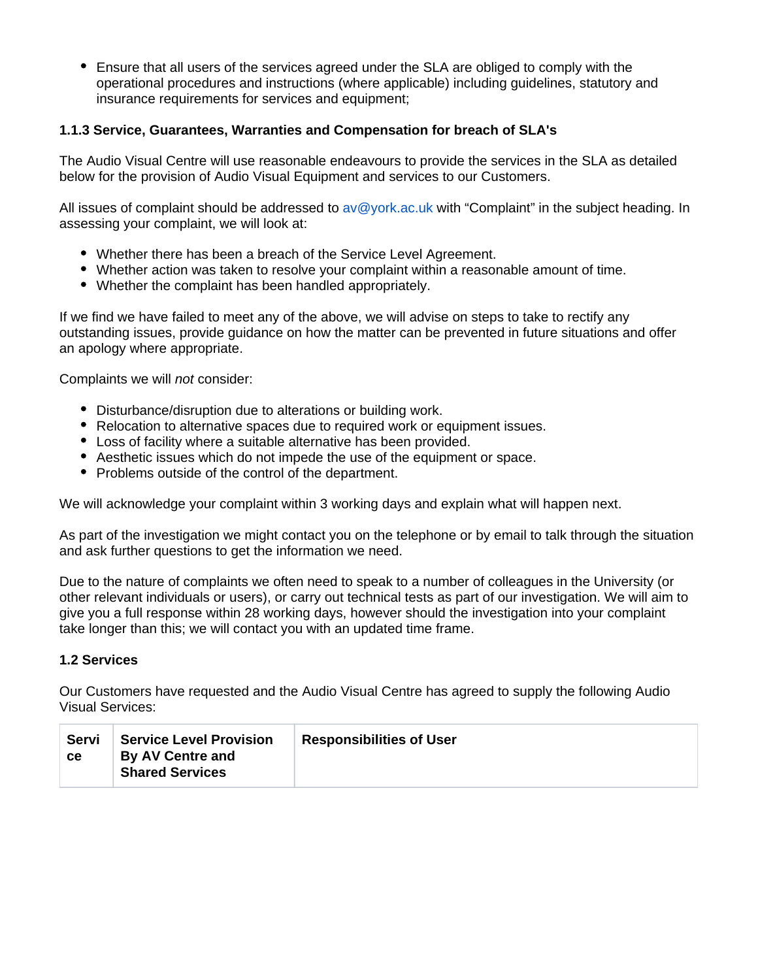$\bullet$ Ensure that all users of the services agreed under the SLA are obliged to comply with the operational procedures and instructions (where applicable) including guidelines, statutory and insurance requirements for services and equipment;

### **1.1.3 Service, Guarantees, Warranties and Compensation for breach of SLA's**

The Audio Visual Centre will use reasonable endeavours to provide the services in the SLA as detailed below for the provision of Audio Visual Equipment and services to our Customers.

All issues of complaint should be addressed to [av@york.ac.uk](mailto:avcentre@york.ac.uk) with "Complaint" in the subject heading. In assessing your complaint, we will look at:

- Whether there has been a breach of the Service Level Agreement.
- Whether action was taken to resolve your complaint within a reasonable amount of time.
- Whether the complaint has been handled appropriately.

If we find we have failed to meet any of the above, we will advise on steps to take to rectify any outstanding issues, provide guidance on how the matter can be prevented in future situations and offer an apology where appropriate.

Complaints we will not consider:

- Disturbance/disruption due to alterations or building work.
- Relocation to alternative spaces due to required work or equipment issues.
- Loss of facility where a suitable alternative has been provided.
- Aesthetic issues which do not impede the use of the equipment or space.
- Problems outside of the control of the department.

We will acknowledge your complaint within 3 working days and explain what will happen next.

As part of the investigation we might contact you on the telephone or by email to talk through the situation and ask further questions to get the information we need.

Due to the nature of complaints we often need to speak to a number of colleagues in the University (or other relevant individuals or users), or carry out technical tests as part of our investigation. We will aim to give you a full response within 28 working days, however should the investigation into your complaint take longer than this; we will contact you with an updated time frame.

#### **1.2 Services**

Our Customers have requested and the Audio Visual Centre has agreed to supply the following Audio Visual Services:

| <b>Servi</b><br>ce | <b>Service Level Provision</b><br>By AV Centre and<br><b>Shared Services</b> | <b>Responsibilities of User</b> |
|--------------------|------------------------------------------------------------------------------|---------------------------------|
|--------------------|------------------------------------------------------------------------------|---------------------------------|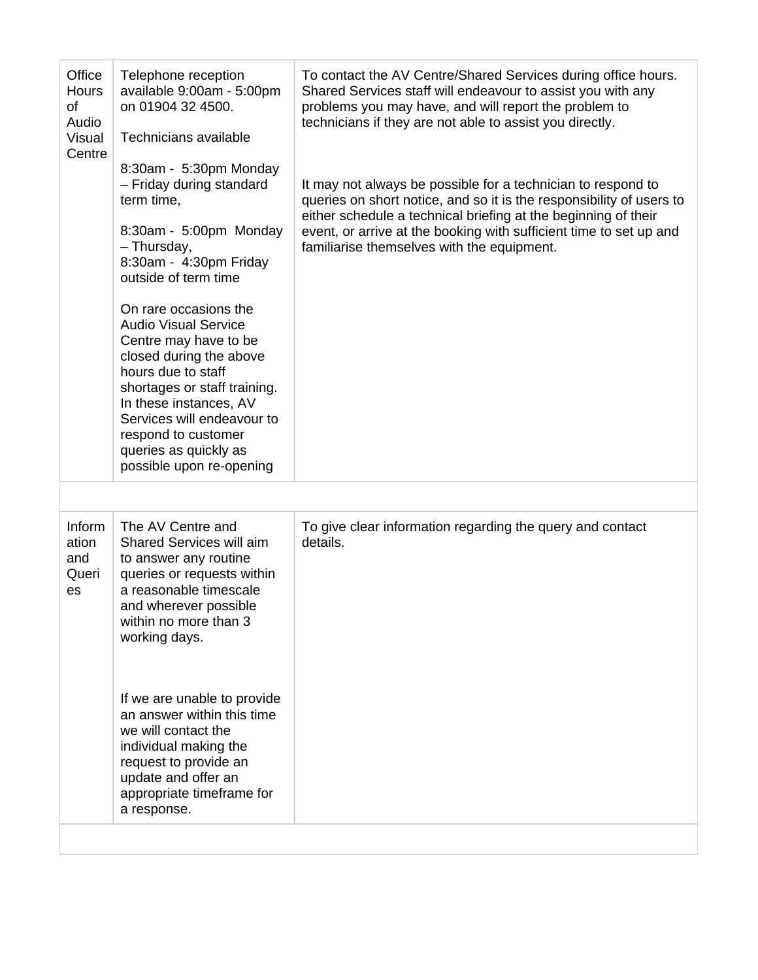| Inform<br>The AV Centre and<br>To give clear information regarding the query and contact<br>details.<br>Shared Services will aim<br>ation<br>to answer any routine<br>and<br>queries or requests within<br>Queri<br>a reasonable timescale<br>es<br>and wherever possible<br>within no more than 3<br>working days.<br>If we are unable to provide<br>an answer within this time<br>we will contact the<br>individual making the<br>request to provide an<br>update and offer an<br>appropriate timeframe for<br>a response. | Office<br>Hours<br>of<br>Audio<br><b>Visual</b><br>Centre | Telephone reception<br>available 9:00am - 5:00pm<br>on 01904 32 4500.<br>Technicians available<br>8:30am - 5:30pm Monday<br>- Friday during standard<br>term time,<br>8:30am - 5:00pm Monday<br>- Thursday,<br>8:30am - 4:30pm Friday<br>outside of term time<br>On rare occasions the<br><b>Audio Visual Service</b><br>Centre may have to be<br>closed during the above<br>hours due to staff<br>shortages or staff training.<br>In these instances, AV<br>Services will endeavour to<br>respond to customer<br>queries as quickly as<br>possible upon re-opening | To contact the AV Centre/Shared Services during office hours.<br>Shared Services staff will endeavour to assist you with any<br>problems you may have, and will report the problem to<br>technicians if they are not able to assist you directly.<br>It may not always be possible for a technician to respond to<br>queries on short notice, and so it is the responsibility of users to<br>either schedule a technical briefing at the beginning of their<br>event, or arrive at the booking with sufficient time to set up and<br>familiarise themselves with the equipment. |
|------------------------------------------------------------------------------------------------------------------------------------------------------------------------------------------------------------------------------------------------------------------------------------------------------------------------------------------------------------------------------------------------------------------------------------------------------------------------------------------------------------------------------|-----------------------------------------------------------|---------------------------------------------------------------------------------------------------------------------------------------------------------------------------------------------------------------------------------------------------------------------------------------------------------------------------------------------------------------------------------------------------------------------------------------------------------------------------------------------------------------------------------------------------------------------|---------------------------------------------------------------------------------------------------------------------------------------------------------------------------------------------------------------------------------------------------------------------------------------------------------------------------------------------------------------------------------------------------------------------------------------------------------------------------------------------------------------------------------------------------------------------------------|
|                                                                                                                                                                                                                                                                                                                                                                                                                                                                                                                              |                                                           |                                                                                                                                                                                                                                                                                                                                                                                                                                                                                                                                                                     |                                                                                                                                                                                                                                                                                                                                                                                                                                                                                                                                                                                 |
|                                                                                                                                                                                                                                                                                                                                                                                                                                                                                                                              |                                                           |                                                                                                                                                                                                                                                                                                                                                                                                                                                                                                                                                                     |                                                                                                                                                                                                                                                                                                                                                                                                                                                                                                                                                                                 |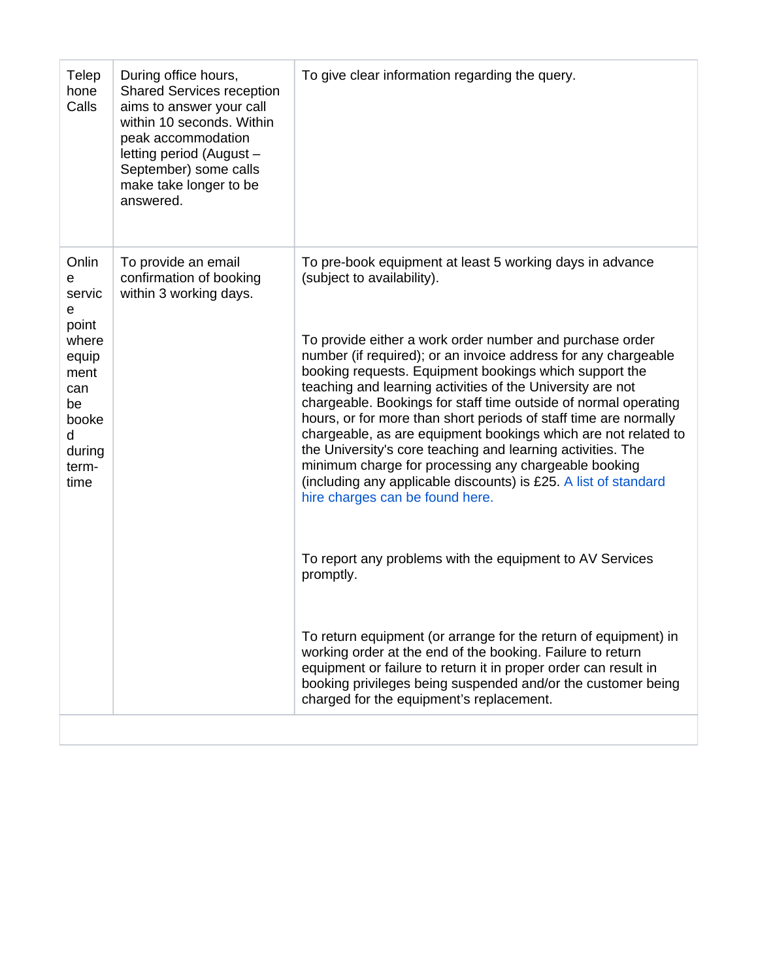| Telep<br>hone<br>Calls                                                                                             | During office hours,<br><b>Shared Services reception</b><br>aims to answer your call<br>within 10 seconds. Within<br>peak accommodation<br>letting period (August -<br>September) some calls<br>make take longer to be<br>answered. | To give clear information regarding the query.                                                                                                                                                                                                                                                                                                                                                                                                                                                                                                                                                                                                                                                                                                                                                                                                                                                                                                                                                                                                                                                                                                                              |  |
|--------------------------------------------------------------------------------------------------------------------|-------------------------------------------------------------------------------------------------------------------------------------------------------------------------------------------------------------------------------------|-----------------------------------------------------------------------------------------------------------------------------------------------------------------------------------------------------------------------------------------------------------------------------------------------------------------------------------------------------------------------------------------------------------------------------------------------------------------------------------------------------------------------------------------------------------------------------------------------------------------------------------------------------------------------------------------------------------------------------------------------------------------------------------------------------------------------------------------------------------------------------------------------------------------------------------------------------------------------------------------------------------------------------------------------------------------------------------------------------------------------------------------------------------------------------|--|
| Onlin<br>е<br>servic<br>e<br>point<br>where<br>equip<br>ment<br>can<br>be<br>booke<br>d<br>during<br>term-<br>time | To provide an email<br>confirmation of booking<br>within 3 working days.                                                                                                                                                            | To pre-book equipment at least 5 working days in advance<br>(subject to availability).<br>To provide either a work order number and purchase order<br>number (if required); or an invoice address for any chargeable<br>booking requests. Equipment bookings which support the<br>teaching and learning activities of the University are not<br>chargeable. Bookings for staff time outside of normal operating<br>hours, or for more than short periods of staff time are normally<br>chargeable, as are equipment bookings which are not related to<br>the University's core teaching and learning activities. The<br>minimum charge for processing any chargeable booking<br>(including any applicable discounts) is £25. A list of standard<br>hire charges can be found here.<br>To report any problems with the equipment to AV Services<br>promptly.<br>To return equipment (or arrange for the return of equipment) in<br>working order at the end of the booking. Failure to return<br>equipment or failure to return it in proper order can result in<br>booking privileges being suspended and/or the customer being<br>charged for the equipment's replacement. |  |
|                                                                                                                    |                                                                                                                                                                                                                                     |                                                                                                                                                                                                                                                                                                                                                                                                                                                                                                                                                                                                                                                                                                                                                                                                                                                                                                                                                                                                                                                                                                                                                                             |  |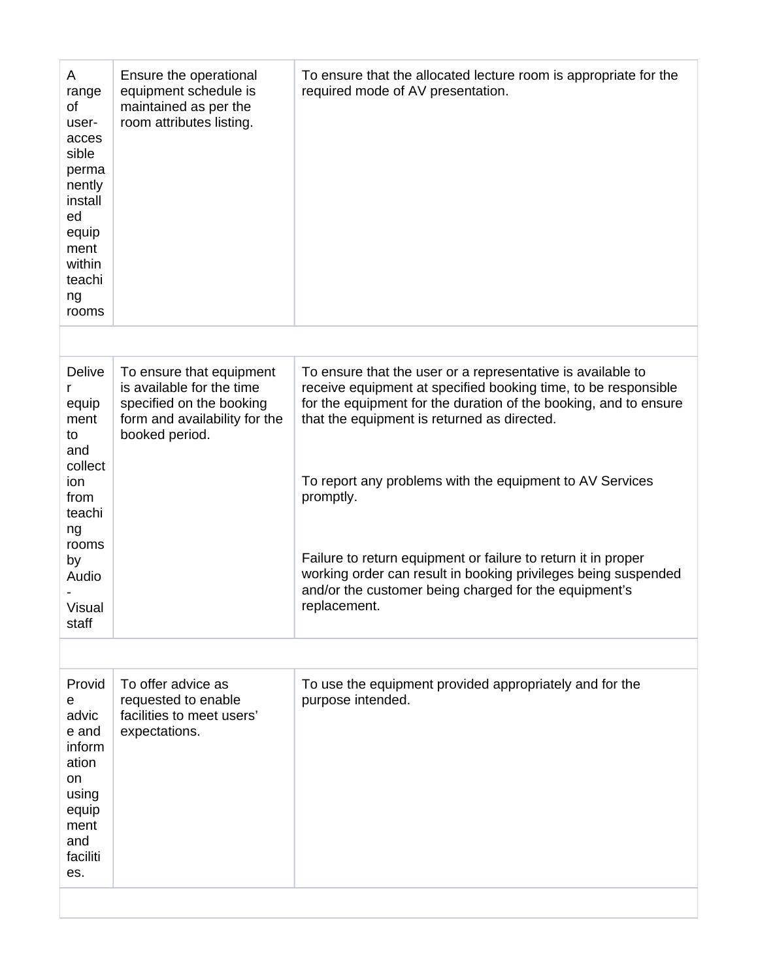| A<br>range<br>of<br>user-<br>acces<br>sible<br>perma<br>nently<br>install<br>ed<br>equip<br>ment<br>within<br>teachi<br>ng<br>rooms          | Ensure the operational<br>equipment schedule is<br>maintained as per the<br>room attributes listing.                                 | To ensure that the allocated lecture room is appropriate for the<br>required mode of AV presentation.                                                                                                                                                                                                                                                                                                                                                                                                                                 |
|----------------------------------------------------------------------------------------------------------------------------------------------|--------------------------------------------------------------------------------------------------------------------------------------|---------------------------------------------------------------------------------------------------------------------------------------------------------------------------------------------------------------------------------------------------------------------------------------------------------------------------------------------------------------------------------------------------------------------------------------------------------------------------------------------------------------------------------------|
|                                                                                                                                              |                                                                                                                                      |                                                                                                                                                                                                                                                                                                                                                                                                                                                                                                                                       |
| <b>Delive</b><br>r<br>equip<br>ment<br>to<br>and<br>collect<br>ion<br>from<br>teachi<br>ng<br>rooms<br>by<br>Audio<br><b>Visual</b><br>staff | To ensure that equipment<br>is available for the time<br>specified on the booking<br>form and availability for the<br>booked period. | To ensure that the user or a representative is available to<br>receive equipment at specified booking time, to be responsible<br>for the equipment for the duration of the booking, and to ensure<br>that the equipment is returned as directed.<br>To report any problems with the equipment to AV Services<br>promptly.<br>Failure to return equipment or failure to return it in proper<br>working order can result in booking privileges being suspended<br>and/or the customer being charged for the equipment's<br>replacement. |
|                                                                                                                                              |                                                                                                                                      |                                                                                                                                                                                                                                                                                                                                                                                                                                                                                                                                       |
| Provid<br>e<br>advic<br>e and<br>inform<br>ation<br>on<br>using<br>equip<br>ment<br>and<br>faciliti<br>es.                                   | To offer advice as<br>requested to enable<br>facilities to meet users'<br>expectations.                                              | To use the equipment provided appropriately and for the<br>purpose intended.                                                                                                                                                                                                                                                                                                                                                                                                                                                          |
|                                                                                                                                              |                                                                                                                                      |                                                                                                                                                                                                                                                                                                                                                                                                                                                                                                                                       |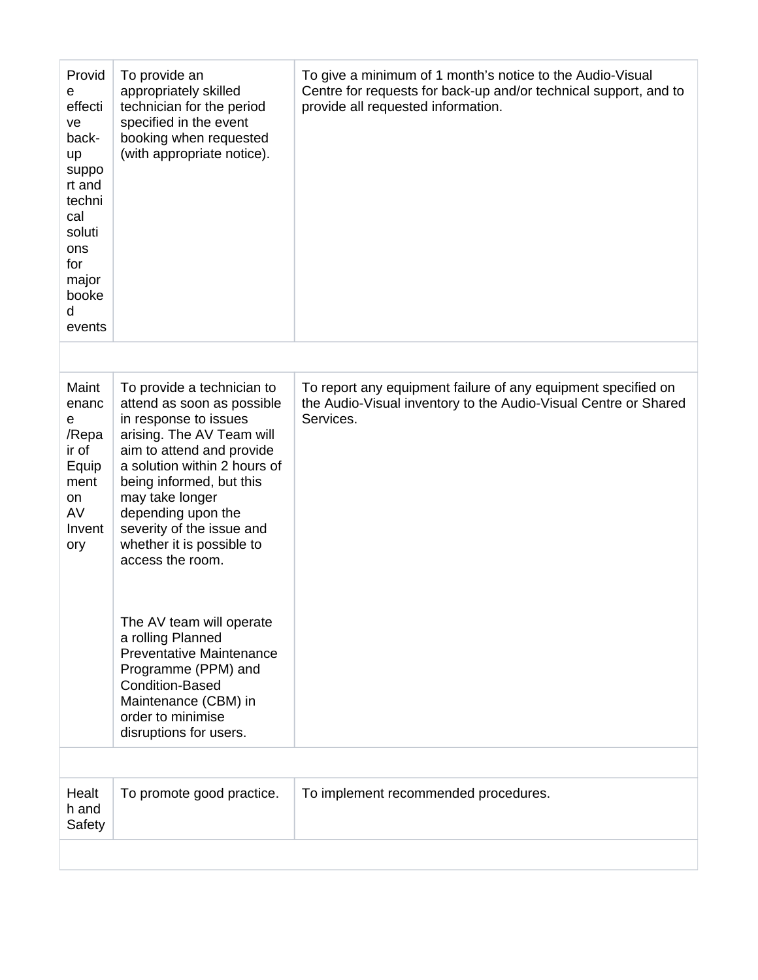| Provid<br>е<br>effecti<br>ve<br>back-<br>up<br>suppo<br>rt and<br>techni<br>cal<br>soluti<br>ons<br>for<br>major<br>booke<br>d<br>events | To provide an<br>appropriately skilled<br>technician for the period<br>specified in the event<br>booking when requested<br>(with appropriate notice).                                                                                                                                                                                                                                                                                                                                                                                      | To give a minimum of 1 month's notice to the Audio-Visual<br>Centre for requests for back-up and/or technical support, and to<br>provide all requested information. |
|------------------------------------------------------------------------------------------------------------------------------------------|--------------------------------------------------------------------------------------------------------------------------------------------------------------------------------------------------------------------------------------------------------------------------------------------------------------------------------------------------------------------------------------------------------------------------------------------------------------------------------------------------------------------------------------------|---------------------------------------------------------------------------------------------------------------------------------------------------------------------|
|                                                                                                                                          |                                                                                                                                                                                                                                                                                                                                                                                                                                                                                                                                            |                                                                                                                                                                     |
| Maint<br>enanc<br>e<br>/Repa<br>ir of<br>Equip<br>ment<br>on<br>AV<br>Invent<br>ory                                                      | To provide a technician to<br>attend as soon as possible<br>in response to issues<br>arising. The AV Team will<br>aim to attend and provide<br>a solution within 2 hours of<br>being informed, but this<br>may take longer<br>depending upon the<br>severity of the issue and<br>whether it is possible to<br>access the room.<br>The AV team will operate<br>a rolling Planned<br><b>Preventative Maintenance</b><br>Programme (PPM) and<br><b>Condition-Based</b><br>Maintenance (CBM) in<br>order to minimise<br>disruptions for users. | To report any equipment failure of any equipment specified on<br>the Audio-Visual inventory to the Audio-Visual Centre or Shared<br>Services.                       |
|                                                                                                                                          |                                                                                                                                                                                                                                                                                                                                                                                                                                                                                                                                            |                                                                                                                                                                     |
| Healt<br>h and<br>Safety                                                                                                                 | To promote good practice.                                                                                                                                                                                                                                                                                                                                                                                                                                                                                                                  | To implement recommended procedures.                                                                                                                                |
|                                                                                                                                          |                                                                                                                                                                                                                                                                                                                                                                                                                                                                                                                                            |                                                                                                                                                                     |